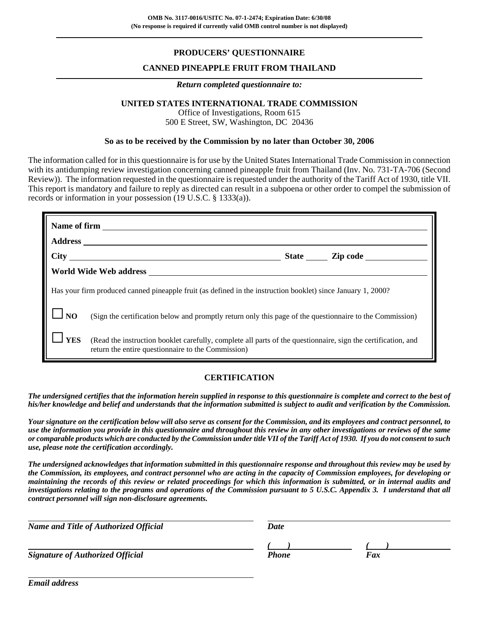## **PRODUCERS' QUESTIONNAIRE**

## **CANNED PINEAPPLE FRUIT FROM THAILAND**

### *Return completed questionnaire to:*

## **UNITED STATES INTERNATIONAL TRADE COMMISSION**

Office of Investigations, Room 615 500 E Street, SW, Washington, DC 20436

### **So as to be received by the Commission by no later than October 30, 2006**

The information called for in this questionnaire is for use by the United States International Trade Commission in connection with its antidumping review investigation concerning canned pineapple fruit from Thailand (Inv. No. 731-TA-706 (Second Review)). The information requested in the questionnaire is requested under the authority of the Tariff Act of 1930, title VII. This report is mandatory and failure to reply as directed can result in a subpoena or other order to compel the submission of records or information in your possession (19 U.S.C. § 1333(a)).

|            | State <u>Lipcode</u>                                                                                                                                                |
|------------|---------------------------------------------------------------------------------------------------------------------------------------------------------------------|
|            |                                                                                                                                                                     |
|            | Has your firm produced canned pineapple fruit (as defined in the instruction booklet) since January 1, 2000?                                                        |
| <b>NO</b>  | (Sign the certification below and promptly return only this page of the questionnaire to the Commission)                                                            |
| <b>YES</b> | (Read the instruction booklet carefully, complete all parts of the questionnaire, sign the certification, and<br>return the entire questionnaire to the Commission) |

### **CERTIFICATION**

*The undersigned certifies that the information herein supplied in response to this questionnaire is complete and correct to the best of his/her knowledge and belief and understands that the information submitted is subject to audit and verification by the Commission.*

*Your signature on the certification below will also serve as consent for the Commission, and its employees and contract personnel, to use the information you provide in this questionnaire and throughout this review in any other investigations or reviews of the same or comparable products which are conducted by the Commission under title VII of the Tariff Act of 1930. If you do not consent to such use, please note the certification accordingly.*

*The undersigned acknowledges that information submitted in this questionnaire response and throughout this review may be used by the Commission, its employees, and contract personnel who are acting in the capacity of Commission employees, for developing or maintaining the records of this review or related proceedings for which this information is submitted, or in internal audits and investigations relating to the programs and operations of the Commission pursuant to 5 U.S.C. Appendix 3. I understand that all contract personnel will sign non-disclosure agreements.*

| <b>Name and Title of Authorized Official</b> | <b>Date</b> |     |  |
|----------------------------------------------|-------------|-----|--|
|                                              |             |     |  |
| <b>Signature of Authorized Official</b>      | Phone       | Fax |  |
|                                              |             |     |  |

*Email address*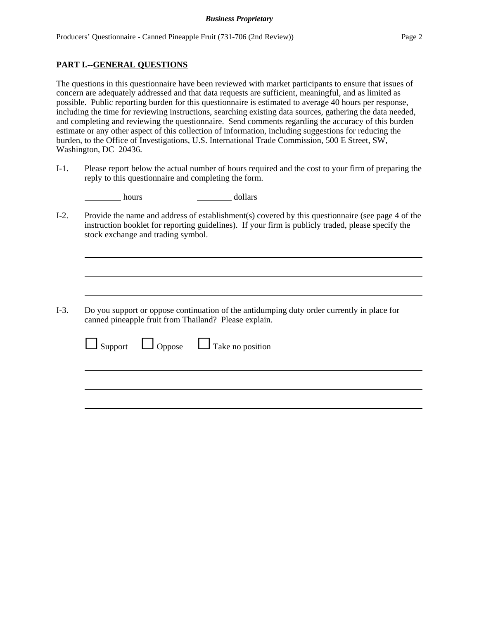## **PART I.--GENERAL QUESTIONS**

The questions in this questionnaire have been reviewed with market participants to ensure that issues of concern are adequately addressed and that data requests are sufficient, meaningful, and as limited as possible. Public reporting burden for this questionnaire is estimated to average 40 hours per response, including the time for reviewing instructions, searching existing data sources, gathering the data needed, and completing and reviewing the questionnaire. Send comments regarding the accuracy of this burden estimate or any other aspect of this collection of information, including suggestions for reducing the burden, to the Office of Investigations, U.S. International Trade Commission, 500 E Street, SW, Washington, DC 20436.

I-1. Please report below the actual number of hours required and the cost to your firm of preparing the reply to this questionnaire and completing the form.

| hours | dollars |
|-------|---------|
|       |         |

I-2. Provide the name and address of establishment(s) covered by this questionnaire (see page 4 of the instruction booklet for reporting guidelines). If your firm is publicly traded, please specify the stock exchange and trading symbol.

I-3. Do you support or oppose continuation of the antidumping duty order currently in place for canned pineapple fruit from Thailand? Please explain.

|  | cannea phicappic frant from Thanana. Thease explain. |  |
|--|------------------------------------------------------|--|
|  | $\Box$ Support $\Box$ Oppose $\Box$ Take no position |  |
|  |                                                      |  |
|  |                                                      |  |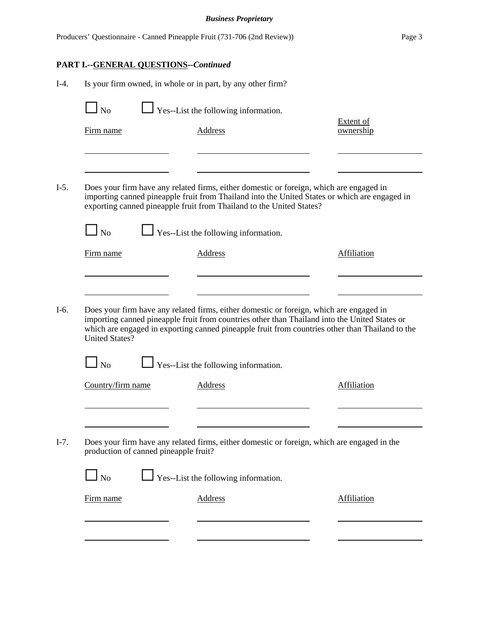## *Business Proprietary*

|        |                                              |                                       | Producers' Questionnaire - Canned Pineapple Fruit (731-706 (2nd Review))                                                                                                                                                                                                                    | Page 3                        |
|--------|----------------------------------------------|---------------------------------------|---------------------------------------------------------------------------------------------------------------------------------------------------------------------------------------------------------------------------------------------------------------------------------------------|-------------------------------|
|        | <b>PART I.--GENERAL QUESTIONS--Continued</b> |                                       |                                                                                                                                                                                                                                                                                             |                               |
| $I-4.$ |                                              |                                       | Is your firm owned, in whole or in part, by any other firm?                                                                                                                                                                                                                                 |                               |
|        | $\Box$ No                                    |                                       | $\Box$ Yes--List the following information.                                                                                                                                                                                                                                                 |                               |
|        | Firm name                                    |                                       | Address                                                                                                                                                                                                                                                                                     | <b>Extent of</b><br>ownership |
| $I-5.$ |                                              |                                       | Does your firm have any related firms, either domestic or foreign, which are engaged in                                                                                                                                                                                                     |                               |
|        |                                              |                                       | importing canned pineapple fruit from Thailand into the United States or which are engaged in<br>exporting canned pineapple fruit from Thailand to the United States?                                                                                                                       |                               |
|        | $\Box$ No                                    |                                       | $\Box$ Yes--List the following information.                                                                                                                                                                                                                                                 |                               |
|        | Firm name                                    |                                       | <b>Address</b>                                                                                                                                                                                                                                                                              | <b>Affiliation</b>            |
|        |                                              |                                       |                                                                                                                                                                                                                                                                                             |                               |
| $I-6.$ | <b>United States?</b>                        |                                       | Does your firm have any related firms, either domestic or foreign, which are engaged in<br>importing canned pineapple fruit from countries other than Thailand into the United States or<br>which are engaged in exporting canned pineapple fruit from countries other than Thailand to the |                               |
|        | N <sub>o</sub>                               |                                       | Yes--List the following information.                                                                                                                                                                                                                                                        |                               |
|        | Country/firm name                            |                                       | Address                                                                                                                                                                                                                                                                                     | Affiliation                   |
|        |                                              |                                       |                                                                                                                                                                                                                                                                                             |                               |
| $I-7.$ |                                              | production of canned pineapple fruit? | Does your firm have any related firms, either domestic or foreign, which are engaged in the                                                                                                                                                                                                 |                               |
|        | $\Box$ No                                    |                                       | Yes--List the following information.                                                                                                                                                                                                                                                        |                               |
|        | Firm name                                    |                                       | <b>Address</b>                                                                                                                                                                                                                                                                              | <b>Affiliation</b>            |
|        |                                              |                                       |                                                                                                                                                                                                                                                                                             |                               |
|        |                                              |                                       |                                                                                                                                                                                                                                                                                             |                               |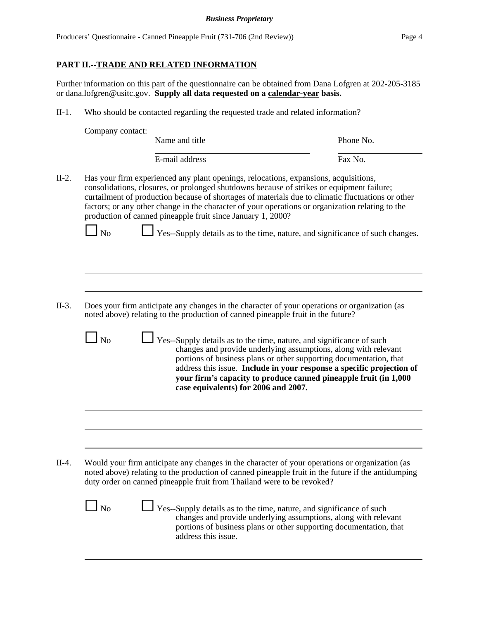## **PART II.--TRADE AND RELATED INFORMATION**

Further information on this part of the questionnaire can be obtained from Dana Lofgren at 202-205-3185 or dana.lofgren@usitc.gov. **Supply all data requested on a calendar-year basis.**

II-1. Who should be contacted regarding the requested trade and related information?

|       | Company contact: |                                                                                                                                                                                                                                                                                                                                                                                                                                                           |           |
|-------|------------------|-----------------------------------------------------------------------------------------------------------------------------------------------------------------------------------------------------------------------------------------------------------------------------------------------------------------------------------------------------------------------------------------------------------------------------------------------------------|-----------|
|       |                  | Name and title                                                                                                                                                                                                                                                                                                                                                                                                                                            | Phone No. |
|       |                  | E-mail address                                                                                                                                                                                                                                                                                                                                                                                                                                            | Fax No.   |
| II-2. |                  | Has your firm experienced any plant openings, relocations, expansions, acquisitions,<br>consolidations, closures, or prolonged shutdowns because of strikes or equipment failure;<br>curtailment of production because of shortages of materials due to climatic fluctuations or other<br>factors; or any other change in the character of your operations or organization relating to the<br>production of canned pineapple fruit since January 1, 2000? |           |

 $\Box$  No  $\Box$  Yes--Supply details as to the time, nature, and significance of such changes.

- II-3. Does your firm anticipate any changes in the character of your operations or organization (as noted above) relating to the production of canned pineapple fruit in the future?
	- $\Box$  No  $\Box$  Yes--Supply details as to the time, nature, and significance of such changes and provide underlying assumptions, along with relevant portions of business plans or other supporting documentation, that address this issue. **Include in your response a specific projection of your firm's capacity to produce canned pineapple fruit (in 1,000 case equivalents) for 2006 and 2007.**

II-4. Would your firm anticipate any changes in the character of your operations or organization (as noted above) relating to the production of canned pineapple fruit in the future if the antidumping duty order on canned pineapple fruit from Thailand were to be revoked?

> $\Box$  No  $\Box$  Yes--Supply details as to the time, nature, and significance of such changes and provide underlying assumptions, along with relevant portions of business plans or other supporting documentation, that address this issue.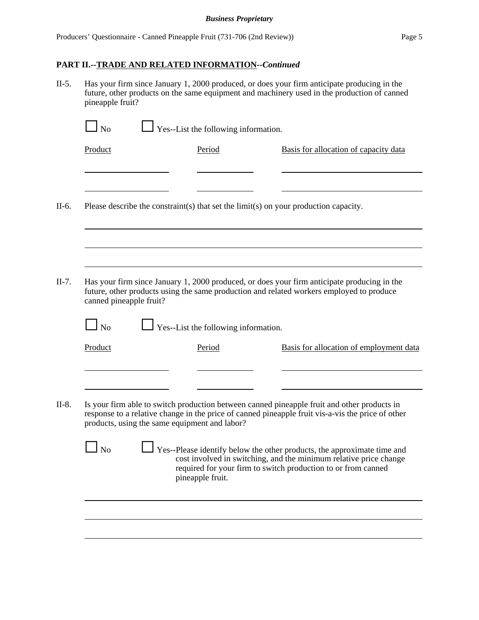## **PART II.--TRADE AND RELATED INFORMATION--***Continued*

II-5. Has your firm since January 1, 2000 produced, or does your firm anticipate producing in the future, other products on the same equipment and machinery used in the production of canned pineapple fruit?

| Product                 | Period                                        | Basis for allocation of capacity data                                                                                                        |
|-------------------------|-----------------------------------------------|----------------------------------------------------------------------------------------------------------------------------------------------|
|                         |                                               |                                                                                                                                              |
|                         |                                               |                                                                                                                                              |
|                         |                                               | Please describe the constraint(s) that set the limit(s) on your production capacity.                                                         |
|                         |                                               |                                                                                                                                              |
|                         |                                               |                                                                                                                                              |
|                         |                                               |                                                                                                                                              |
|                         |                                               | Has your firm since January 1, 2000 produced, or does your firm anticipate producing in the                                                  |
|                         |                                               |                                                                                                                                              |
|                         |                                               | future, other products using the same production and related workers employed to produce                                                     |
| canned pineapple fruit? |                                               |                                                                                                                                              |
| $\perp$ No              | Yes--List the following information.          |                                                                                                                                              |
| Product                 | Period                                        | Basis for allocation of employment data                                                                                                      |
|                         |                                               |                                                                                                                                              |
|                         |                                               |                                                                                                                                              |
|                         |                                               | Is your firm able to switch production between canned pineapple fruit and other products in                                                  |
|                         | products, using the same equipment and labor? | response to a relative change in the price of canned pineapple fruit vis-a-vis the price of other                                            |
|                         |                                               |                                                                                                                                              |
| N <sub>0</sub>          |                                               | Yes--Please identify below the other products, the approximate time and<br>cost involved in switching, and the minimum relative price change |
|                         | pineapple fruit.                              | required for your firm to switch production to or from canned                                                                                |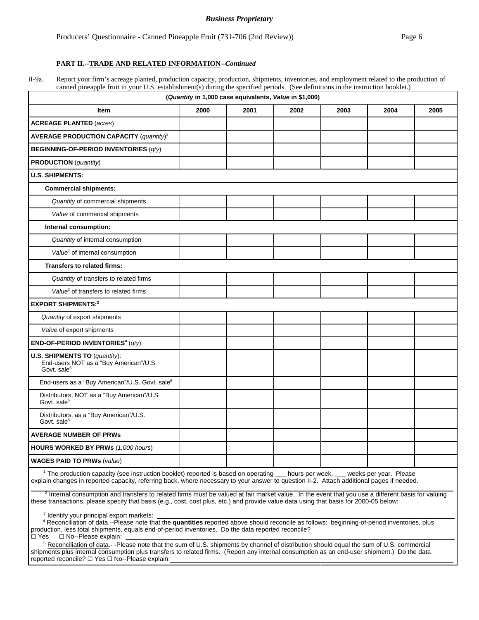### *Business Proprietary*

Producers' Questionnaire - Canned Pineapple Fruit (731-706 (2nd Review)) Page 6

### **PART II.--TRADE AND RELATED INFORMATION--***Continued*

II-9a. Report your firm's acreage planted, production capacity, production, shipments, inventories, and employment related to the production of canned pineapple fruit in your U.S. establishment(s) during the specified periods. (See definitions in the instruction booklet.)

| (Quantity in 1,000 case equivalents, Value in \$1,000)                                                                                                                                                                                                                                                                                                        |      |      |      |      |      |      |
|---------------------------------------------------------------------------------------------------------------------------------------------------------------------------------------------------------------------------------------------------------------------------------------------------------------------------------------------------------------|------|------|------|------|------|------|
| Item                                                                                                                                                                                                                                                                                                                                                          | 2000 | 2001 | 2002 | 2003 | 2004 | 2005 |
| <b>ACREAGE PLANTED (acres)</b>                                                                                                                                                                                                                                                                                                                                |      |      |      |      |      |      |
| <b>AVERAGE PRODUCTION CAPACITY (quantity)<sup>1</sup></b>                                                                                                                                                                                                                                                                                                     |      |      |      |      |      |      |
| <b>BEGINNING-OF-PERIOD INVENTORIES (qty)</b>                                                                                                                                                                                                                                                                                                                  |      |      |      |      |      |      |
| <b>PRODUCTION</b> ( <i>quantity</i> )                                                                                                                                                                                                                                                                                                                         |      |      |      |      |      |      |
| <b>U.S. SHIPMENTS:</b>                                                                                                                                                                                                                                                                                                                                        |      |      |      |      |      |      |
| <b>Commercial shipments:</b>                                                                                                                                                                                                                                                                                                                                  |      |      |      |      |      |      |
| Quantity of commercial shipments                                                                                                                                                                                                                                                                                                                              |      |      |      |      |      |      |
| Value of commercial shipments                                                                                                                                                                                                                                                                                                                                 |      |      |      |      |      |      |
| Internal consumption:                                                                                                                                                                                                                                                                                                                                         |      |      |      |      |      |      |
| Quantity of internal consumption                                                                                                                                                                                                                                                                                                                              |      |      |      |      |      |      |
| Value <sup>2</sup> of internal consumption                                                                                                                                                                                                                                                                                                                    |      |      |      |      |      |      |
| <b>Transfers to related firms:</b>                                                                                                                                                                                                                                                                                                                            |      |      |      |      |      |      |
| Quantity of transfers to related firms                                                                                                                                                                                                                                                                                                                        |      |      |      |      |      |      |
| Value <sup>2</sup> of transfers to related firms                                                                                                                                                                                                                                                                                                              |      |      |      |      |      |      |
| <b>EXPORT SHIPMENTS:3</b>                                                                                                                                                                                                                                                                                                                                     |      |      |      |      |      |      |
| Quantity of export shipments                                                                                                                                                                                                                                                                                                                                  |      |      |      |      |      |      |
| Value of export shipments                                                                                                                                                                                                                                                                                                                                     |      |      |      |      |      |      |
| <b>END-OF-PERIOD INVENTORIES<sup>4</sup></b> ( $qty$ ):                                                                                                                                                                                                                                                                                                       |      |      |      |      |      |      |
| U.S. SHIPMENTS TO (quantity):<br>End-users NOT as a "Buy American"/U.S.<br>Govt. sale <sup>5</sup>                                                                                                                                                                                                                                                            |      |      |      |      |      |      |
| End-users as a "Buy American"/U.S. Govt. sale <sup>5</sup>                                                                                                                                                                                                                                                                                                    |      |      |      |      |      |      |
| Distributors, NOT as a "Buy American"/U.S.<br>Govt. sale <sup>5</sup>                                                                                                                                                                                                                                                                                         |      |      |      |      |      |      |
| Distributors, as a "Buy American"/U.S.<br>Govt. sale <sup>5</sup>                                                                                                                                                                                                                                                                                             |      |      |      |      |      |      |
| <b>AVERAGE NUMBER OF PRWS</b>                                                                                                                                                                                                                                                                                                                                 |      |      |      |      |      |      |
| <b>HOURS WORKED BY PRWs (1,000 hours)</b>                                                                                                                                                                                                                                                                                                                     |      |      |      |      |      |      |
| <b>WAGES PAID TO PRWs (value)</b>                                                                                                                                                                                                                                                                                                                             |      |      |      |      |      |      |
| <sup>1</sup> The production capacity (see instruction booklet) reported is based on operating __ hours per week, __ weeks per year. Please<br>explain changes in reported capacity, referring back, where necessary to your answer to question II-2. Attach additional pages if needed.                                                                       |      |      |      |      |      |      |
| <sup>2</sup> Internal consumption and transfers to related firms must be valued at fair market value. In the event that you use a different basis for valuing<br>these transactions, please specify that basis (e.g., cost, cost plus, etc.) and provide value data using that basis for 2000-05 below:                                                       |      |      |      |      |      |      |
| <sup>3</sup> Identify your principal export markets:<br><sup>4</sup> Reconciliation of data.--Please note that the quantities reported above should reconcile as follows: beginning-of-period inventories, plus<br>production, less total shipments, equals end-of-period inventories. Do the data reported reconcile?<br>□ No--Please explain:<br>$\Box$ Yes |      |      |      |      |      |      |
| <sup>5</sup> Reconciliation of data.- -Please note that the sum of U.S. shipments by channel of distribution should equal the sum of U.S. commercial<br>shipments plus internal consumption plus transfers to related firms. (Report any internal consumption as an end-user shipment.) Do the data<br>reported reconcile? □ Yes □ No--Please explain:        |      |      |      |      |      |      |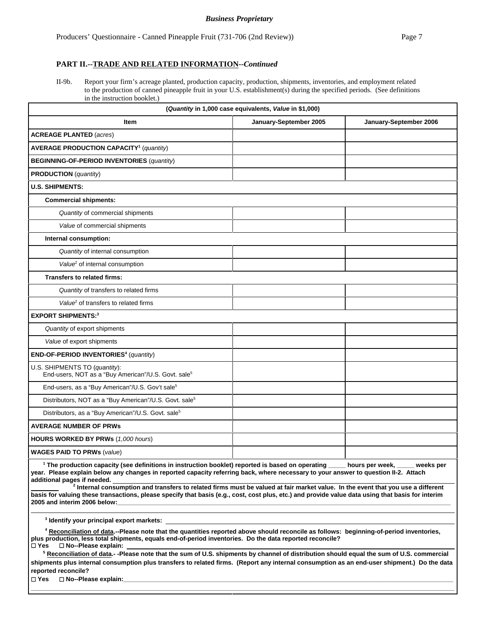### **PART II.--TRADE AND RELATED INFORMATION--***Continued*

II-9b. Report your firm's acreage planted, production capacity, production, shipments, inventories, and employment related to the production of canned pineapple fruit in your U.S. establishment(s) during the specified periods. (See definitions in the instruction booklet.)

| (Quantity in 1,000 case equivalents, Value in \$1,000)                                           |                        |                        |  |  |
|--------------------------------------------------------------------------------------------------|------------------------|------------------------|--|--|
| <b>Item</b>                                                                                      | January-September 2005 | January-September 2006 |  |  |
| <b>ACREAGE PLANTED (acres)</b>                                                                   |                        |                        |  |  |
| <b>AVERAGE PRODUCTION CAPACITY<sup>1</sup></b> (quantity)                                        |                        |                        |  |  |
| <b>BEGINNING-OF-PERIOD INVENTORIES (quantity)</b>                                                |                        |                        |  |  |
| <b>PRODUCTION</b> ( <i>quantity</i> )                                                            |                        |                        |  |  |
| <b>U.S. SHIPMENTS:</b>                                                                           |                        |                        |  |  |
| <b>Commercial shipments:</b>                                                                     |                        |                        |  |  |
| Quantity of commercial shipments                                                                 |                        |                        |  |  |
| Value of commercial shipments                                                                    |                        |                        |  |  |
| Internal consumption:                                                                            |                        |                        |  |  |
| Quantity of internal consumption                                                                 |                        |                        |  |  |
| Value <sup>2</sup> of internal consumption                                                       |                        |                        |  |  |
| Transfers to related firms:                                                                      |                        |                        |  |  |
| Quantity of transfers to related firms                                                           |                        |                        |  |  |
| Value <sup>2</sup> of transfers to related firms                                                 |                        |                        |  |  |
| <b>EXPORT SHIPMENTS:3</b>                                                                        |                        |                        |  |  |
| Quantity of export shipments                                                                     |                        |                        |  |  |
| Value of export shipments                                                                        |                        |                        |  |  |
| END-OF-PERIOD INVENTORIES <sup>4</sup> (quantity)                                                |                        |                        |  |  |
| U.S. SHIPMENTS TO (quantity):<br>End-users, NOT as a "Buy American"/U.S. Govt. sale <sup>5</sup> |                        |                        |  |  |
| End-users, as a "Buy American"/U.S. Gov't sale <sup>5</sup>                                      |                        |                        |  |  |
| Distributors, NOT as a "Buy American"/U.S. Govt. sale <sup>5</sup>                               |                        |                        |  |  |
| Distributors, as a "Buy American"/U.S. Govt. sale <sup>5</sup>                                   |                        |                        |  |  |
| <b>AVERAGE NUMBER OF PRWS</b>                                                                    |                        |                        |  |  |
| HOURS WORKED BY PRWs (1,000 hours)                                                               |                        |                        |  |  |
| <b>WAGES PAID TO PRWs (value)</b>                                                                |                        |                        |  |  |

 **2 Internal consumption and transfers to related firms must be valued at fair market value. In the event that you use a different basis for valuing these transactions, please specify that basis (e.g., cost, cost plus, etc.) and provide value data using that basis for interim 2005 and interim 2006 below:\_\_\_\_\_\_\_\_\_\_\_\_\_\_\_\_\_\_\_\_\_\_\_\_\_\_\_\_\_\_\_\_\_\_\_\_\_\_\_\_\_\_\_\_\_\_\_\_\_\_\_\_\_\_\_\_\_\_\_\_\_\_\_\_\_\_\_\_\_\_\_\_\_\_\_\_\_\_\_\_\_\_\_\_\_\_\_\_\_\_\_\_\_\_\_\_**

**3 Identify your principal export markets:** 

**4 Reconciliation of data.--Please note that the quantities reported above should reconcile as follows: beginning-of-period inventories, plus production, less total shipments, equals end-of-period inventories. Do the data reported reconcile?** G **Yes** G **No--Please explain:** 

<sup>5</sup> Reconciliation of data.- -Please note that the sum of U.S. shipments by channel of distribution should equal the sum of U.S. commercial **shipments plus internal consumption plus transfers to related firms. (Report any internal consumption as an end-user shipment.) Do the data reported reconcile?** 

**\_\_\_\_\_\_\_\_\_\_\_\_\_\_\_\_\_\_\_\_\_\_\_\_\_\_\_\_\_\_\_\_\_\_\_\_\_\_\_\_\_\_\_\_\_\_\_\_\_\_\_\_\_\_\_\_\_\_\_\_\_\_\_\_\_\_\_\_\_\_\_\_\_\_\_\_\_\_\_\_\_\_\_\_\_\_\_\_\_\_\_\_\_\_\_\_\_\_\_\_\_\_\_\_\_\_\_\_\_\_\_\_\_\_\_\_\_\_\_\_\_\_**

 $\square$  Yes  $\square$  No--Please explain: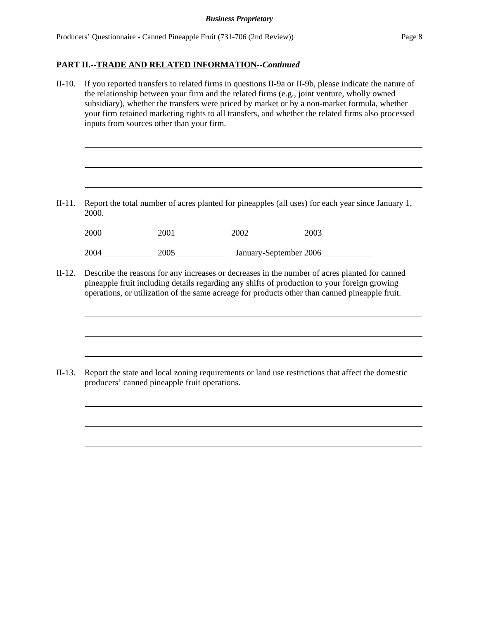II-10. If you reported transfers to related firms in questions II-9a or II-9b, please indicate the nature of the relationship between your firm and the related firms (e.g., joint venture, wholly owned subsidiary), whether the transfers were priced by market or by a non-market formula, whether your firm retained marketing rights to all transfers, and whether the related firms also processed inputs from sources other than your firm.

II-11. Report the total number of acres planted for pineapples (all uses) for each year since January 1, 2000.

| 2000 | 2001 | 2002                   | 2003 |
|------|------|------------------------|------|
| 2004 | 2005 | January-September 2006 |      |

II-12. Describe the reasons for any increases or decreases in the number of acres planted for canned pineapple fruit including details regarding any shifts of production to your foreign growing operations, or utilization of the same acreage for products other than canned pineapple fruit.

II-13. Report the state and local zoning requirements or land use restrictions that affect the domestic producers' canned pineapple fruit operations.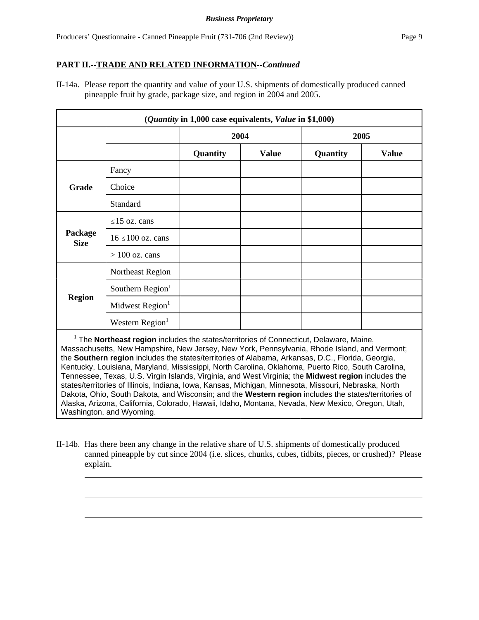## **PART II.--TRADE AND RELATED INFORMATION--***Continued*

II-14a. Please report the quantity and value of your U.S. shipments of domestically produced canned pineapple fruit by grade, package size, and region in 2004 and 2005.

| (Quantity in 1,000 case equivalents, Value in \$1,000) |                               |          |              |          |              |  |
|--------------------------------------------------------|-------------------------------|----------|--------------|----------|--------------|--|
|                                                        |                               |          | 2004         |          | 2005         |  |
|                                                        |                               | Quantity | <b>Value</b> | Quantity | <b>Value</b> |  |
|                                                        | Fancy                         |          |              |          |              |  |
| <b>Grade</b>                                           | Choice                        |          |              |          |              |  |
|                                                        | Standard                      |          |              |          |              |  |
|                                                        | $\leq$ 15 oz. cans            |          |              |          |              |  |
| Package<br><b>Size</b>                                 | $16 \le 100$ oz. cans         |          |              |          |              |  |
|                                                        | $> 100$ oz. cans              |          |              |          |              |  |
|                                                        | Northeast Region <sup>1</sup> |          |              |          |              |  |
|                                                        | Southern Region <sup>1</sup>  |          |              |          |              |  |
| <b>Region</b>                                          | Midwest Region <sup>1</sup>   |          |              |          |              |  |
|                                                        | Western Region <sup>1</sup>   |          |              |          |              |  |

<sup>1</sup> The **Northeast region** includes the states/territories of Connecticut, Delaware, Maine, Massachusetts, New Hampshire, New Jersey, New York, Pennsylvania, Rhode Island, and Vermont; the **Southern region** includes the states/territories of Alabama, Arkansas, D.C., Florida, Georgia, Kentucky, Louisiana, Maryland, Mississippi, North Carolina, Oklahoma, Puerto Rico, South Carolina, Tennessee, Texas, U.S. Virgin Islands, Virginia, and West Virginia; the **Midwest region** includes the states/territories of Illinois, Indiana, Iowa, Kansas, Michigan, Minnesota, Missouri, Nebraska, North Dakota, Ohio, South Dakota, and Wisconsin; and the **Western region** includes the states/territories of Alaska, Arizona, California, Colorado, Hawaii, Idaho, Montana, Nevada, New Mexico, Oregon, Utah, Washington, and Wyoming.

II-14b. Has there been any change in the relative share of U.S. shipments of domestically produced canned pineapple by cut since 2004 (i.e. slices, chunks, cubes, tidbits, pieces, or crushed)? Please explain.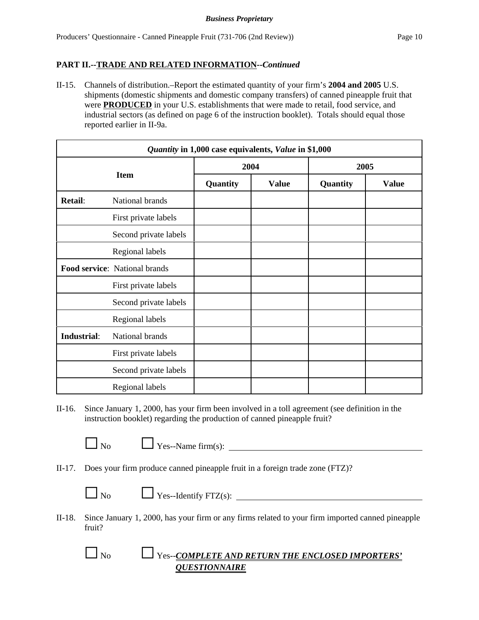## **PART II.--TRADE AND RELATED INFORMATION--***Continued*

II-15. Channels of distribution.–Report the estimated quantity of your firm's **2004 and 2005** U.S. shipments (domestic shipments and domestic company transfers) of canned pineapple fruit that were **PRODUCED** in your U.S. establishments that were made to retail, food service, and industrial sectors (as defined on page 6 of the instruction booklet). Totals should equal those reported earlier in II-9a.

| Quantity in 1,000 case equivalents, Value in \$1,000 |                               |          |              |          |              |
|------------------------------------------------------|-------------------------------|----------|--------------|----------|--------------|
|                                                      |                               | 2004     |              | 2005     |              |
|                                                      | <b>Item</b>                   | Quantity | <b>Value</b> | Quantity | <b>Value</b> |
| <b>Retail:</b>                                       | National brands               |          |              |          |              |
|                                                      | First private labels          |          |              |          |              |
|                                                      | Second private labels         |          |              |          |              |
|                                                      | Regional labels               |          |              |          |              |
|                                                      | Food service: National brands |          |              |          |              |
|                                                      | First private labels          |          |              |          |              |
|                                                      | Second private labels         |          |              |          |              |
|                                                      | Regional labels               |          |              |          |              |
| <b>Industrial:</b>                                   | National brands               |          |              |          |              |
|                                                      | First private labels          |          |              |          |              |
|                                                      | Second private labels         |          |              |          |              |
|                                                      | Regional labels               |          |              |          |              |

II-16. Since January 1, 2000, has your firm been involved in a toll agreement (see definition in the instruction booklet) regarding the production of canned pineapple fruit?

 $\Box$  Yes--Name firm(s):

- II-17. Does your firm produce canned pineapple fruit in a foreign trade zone (FTZ)?
	-

 $\Box$  No  $\Box$  Yes--Identify FTZ(s):  $\Box$ 

- II-18. Since January 1, 2000, has your firm or any firms related to your firm imported canned pineapple fruit?
	- $\Box$  No  $\Box$  Yes--*COMPLETE AND RETURN THE ENCLOSED IMPORTERS' QUESTIONNAIRE*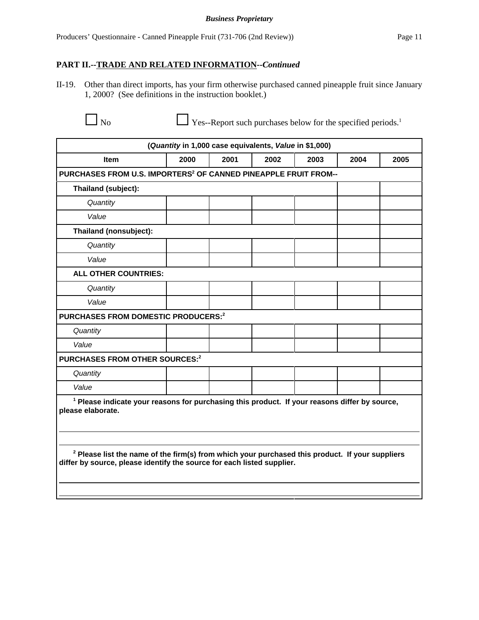### *Business Proprietary*

### **PART II.--TRADE AND RELATED INFORMATION--***Continued*

II-19. Other than direct imports, has your firm otherwise purchased canned pineapple fruit since January 1, 2000? (See definitions in the instruction booklet.)

 $\Box$  No  $\Box$  Yes--Report such purchases below for the specified periods.<sup>1</sup>

| (Quantity in 1,000 case equivalents, Value in \$1,000)                                                                                                                                                                                                                                                                |      |      |      |      |      |      |
|-----------------------------------------------------------------------------------------------------------------------------------------------------------------------------------------------------------------------------------------------------------------------------------------------------------------------|------|------|------|------|------|------|
| <b>Item</b>                                                                                                                                                                                                                                                                                                           | 2000 | 2001 | 2002 | 2003 | 2004 | 2005 |
| PURCHASES FROM U.S. IMPORTERS <sup>2</sup> OF CANNED PINEAPPLE FRUIT FROM--                                                                                                                                                                                                                                           |      |      |      |      |      |      |
| Thailand (subject):                                                                                                                                                                                                                                                                                                   |      |      |      |      |      |      |
| Quantity                                                                                                                                                                                                                                                                                                              |      |      |      |      |      |      |
| Value                                                                                                                                                                                                                                                                                                                 |      |      |      |      |      |      |
| Thailand (nonsubject):                                                                                                                                                                                                                                                                                                |      |      |      |      |      |      |
| Quantity                                                                                                                                                                                                                                                                                                              |      |      |      |      |      |      |
| Value                                                                                                                                                                                                                                                                                                                 |      |      |      |      |      |      |
| <b>ALL OTHER COUNTRIES:</b>                                                                                                                                                                                                                                                                                           |      |      |      |      |      |      |
| Quantity                                                                                                                                                                                                                                                                                                              |      |      |      |      |      |      |
| Value                                                                                                                                                                                                                                                                                                                 |      |      |      |      |      |      |
| PURCHASES FROM DOMESTIC PRODUCERS: <sup>2</sup>                                                                                                                                                                                                                                                                       |      |      |      |      |      |      |
| Quantity                                                                                                                                                                                                                                                                                                              |      |      |      |      |      |      |
| Value                                                                                                                                                                                                                                                                                                                 |      |      |      |      |      |      |
| PURCHASES FROM OTHER SOURCES:2                                                                                                                                                                                                                                                                                        |      |      |      |      |      |      |
| Quantity                                                                                                                                                                                                                                                                                                              |      |      |      |      |      |      |
| Value                                                                                                                                                                                                                                                                                                                 |      |      |      |      |      |      |
| <sup>1</sup> Please indicate your reasons for purchasing this product. If your reasons differ by source,<br>please elaborate.<br><sup>2</sup> Please list the name of the firm(s) from which your purchased this product. If your suppliers<br>differ by source, please identify the source for each listed supplier. |      |      |      |      |      |      |
|                                                                                                                                                                                                                                                                                                                       |      |      |      |      |      |      |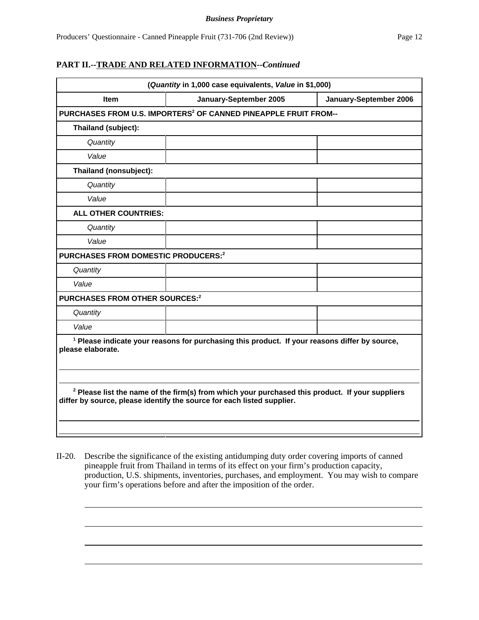#### *Business Proprietary*

## **PART II.--TRADE AND RELATED INFORMATION--***Continued*

| (Quantity in 1,000 case equivalents, Value in \$1,000) |                                                                                                                                                                             |                        |  |  |  |
|--------------------------------------------------------|-----------------------------------------------------------------------------------------------------------------------------------------------------------------------------|------------------------|--|--|--|
| <b>Item</b>                                            | January-September 2005                                                                                                                                                      | January-September 2006 |  |  |  |
|                                                        | PURCHASES FROM U.S. IMPORTERS <sup>2</sup> OF CANNED PINEAPPLE FRUIT FROM--                                                                                                 |                        |  |  |  |
| Thailand (subject):                                    |                                                                                                                                                                             |                        |  |  |  |
| Quantity                                               |                                                                                                                                                                             |                        |  |  |  |
| Value                                                  |                                                                                                                                                                             |                        |  |  |  |
| Thailand (nonsubject):                                 |                                                                                                                                                                             |                        |  |  |  |
| Quantity                                               |                                                                                                                                                                             |                        |  |  |  |
| Value                                                  |                                                                                                                                                                             |                        |  |  |  |
| <b>ALL OTHER COUNTRIES:</b>                            |                                                                                                                                                                             |                        |  |  |  |
| Quantity                                               |                                                                                                                                                                             |                        |  |  |  |
| Value                                                  |                                                                                                                                                                             |                        |  |  |  |
| <b>PURCHASES FROM DOMESTIC PRODUCERS:2</b>             |                                                                                                                                                                             |                        |  |  |  |
| Quantity                                               |                                                                                                                                                                             |                        |  |  |  |
| Value                                                  |                                                                                                                                                                             |                        |  |  |  |
| PURCHASES FROM OTHER SOURCES: <sup>2</sup>             |                                                                                                                                                                             |                        |  |  |  |
| Quantity                                               |                                                                                                                                                                             |                        |  |  |  |
| Value                                                  |                                                                                                                                                                             |                        |  |  |  |
| please elaborate.                                      | <sup>1</sup> Please indicate your reasons for purchasing this product. If your reasons differ by source,                                                                    |                        |  |  |  |
|                                                        | $2$ Please list the name of the firm(s) from which your purchased this product. If your suppliers<br>differ by source, please identify the source for each listed supplier. |                        |  |  |  |

II-20. Describe the significance of the existing antidumping duty order covering imports of canned pineapple fruit from Thailand in terms of its effect on your firm's production capacity, production, U.S. shipments, inventories, purchases, and employment. You may wish to compare your firm's operations before and after the imposition of the order.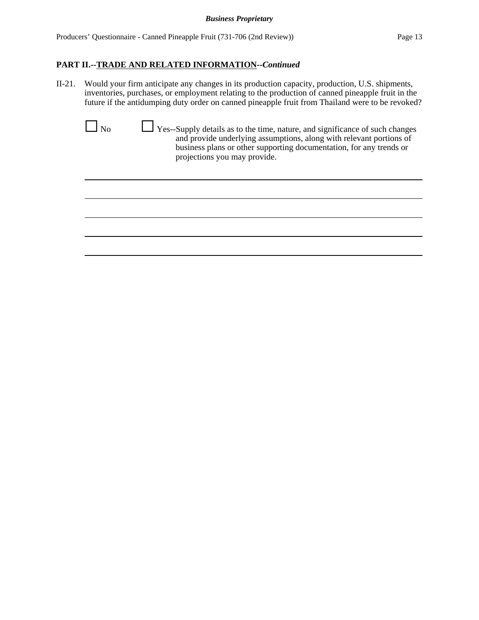II-21. Would your firm anticipate any changes in its production capacity, production, U.S. shipments, inventories, purchases, or employment relating to the production of canned pineapple fruit in the future if the antidumping duty order on canned pineapple fruit from Thailand were to be revoked?

| M. |
|----|
|    |

G No G Yes--Supply details as to the time, nature, and significance of such changes and provide underlying assumptions, along with relevant portions of business plans or other supporting documentation, for any trends or projections you may provide.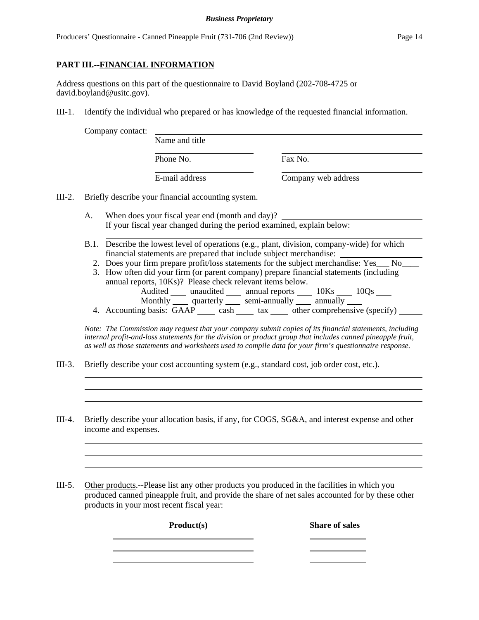Producers' Questionnaire - Canned Pineapple Fruit (731-706 (2nd Review)) Page 14

## **PART III.--FINANCIAL INFORMATION**

Address questions on this part of the questionnaire to David Boyland (202-708-4725 or david.boyland@usitc.gov).

III-1. Identify the individual who prepared or has knowledge of the requested financial information.

Company contact:

| 117 contaet. | Name and title |                     |
|--------------|----------------|---------------------|
|              | Phone No.      | Fax No.             |
|              | E-mail address | Company web address |
|              |                |                     |

III-2. Briefly describe your financial accounting system.

A. When does your fiscal year end (month and day)? If your fiscal year changed during the period examined, explain below:

B.1. Describe the lowest level of operations (e.g., plant, division, company-wide) for which financial statements are prepared that include subject merchandise:

- 2. Does your firm prepare profit/loss statements for the subject merchandise: Yes No
- 3. How often did your firm (or parent company) prepare financial statements (including annual reports, 10Ks)? Please check relevant items below. Audited \_\_\_\_\_ unaudited \_\_\_\_\_ annual reports \_\_\_\_\_ 10Ks \_\_\_\_\_ 10Qs \_\_\_\_ Monthly <u>quarterly</u> semi-annually annually
- 4. Accounting basis: GAAP cash tax other comprehensive (specify)

*Note: The Commission may request that your company submit copies of its financial statements, including internal profit-and-loss statements for the division or product group that includes canned pineapple fruit, as well as those statements and worksheets used to compile data for your firm's questionnaire response.*

- III-3. Briefly describe your cost accounting system (e.g., standard cost, job order cost, etc.).
- III-4. Briefly describe your allocation basis, if any, for COGS, SG&A, and interest expense and other income and expenses.

III-5. Other products.--Please list any other products you produced in the facilities in which you produced canned pineapple fruit, and provide the share of net sales accounted for by these other products in your most recent fiscal year:

Product(s) Share of sales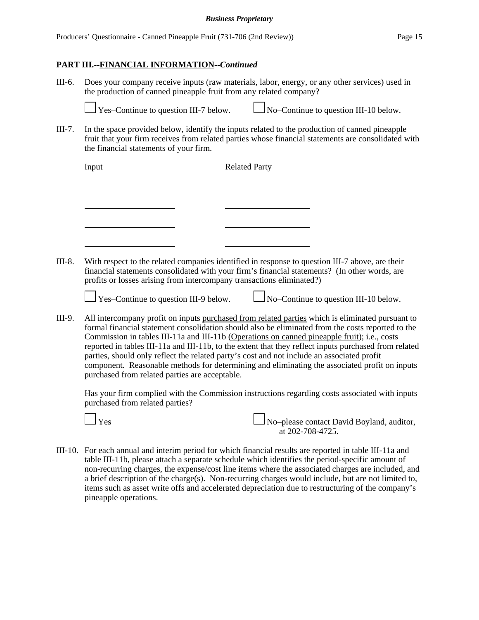#### *Business Proprietary*

### **PART III.--FINANCIAL INFORMATION--***Continued*

III-6. Does your company receive inputs (raw materials, labor, energy, or any other services) used in the production of canned pineapple fruit from any related company?

 $\Box$  Yes–Continue to question III-7 below.  $\Box$  No–Continue to question III-10 below.

III-7. In the space provided below, identify the inputs related to the production of canned pineapple fruit that your firm receives from related parties whose financial statements are consolidated with the financial statements of your firm.

|        | Input                                                                                                                                                                                                                                                                     | <b>Related Party</b> |  |
|--------|---------------------------------------------------------------------------------------------------------------------------------------------------------------------------------------------------------------------------------------------------------------------------|----------------------|--|
|        |                                                                                                                                                                                                                                                                           |                      |  |
|        |                                                                                                                                                                                                                                                                           |                      |  |
|        |                                                                                                                                                                                                                                                                           |                      |  |
| III-8. | With respect to the related companies identified in response to question III-7 above, are their<br>financial statements consolidated with your firm's financial statements? (In other words, are<br>profits or losses arising from intercompany transactions eliminated?) |                      |  |
|        | $\Box$ Yes–Continue to question III-9 below. $\Box$ No–Continue to question III-10 below.                                                                                                                                                                                 |                      |  |
| III-9. | All intercompany profit on inputs purchased from related parties which is eliminated pursuant to                                                                                                                                                                          |                      |  |

formal financial statement consolidation should also be eliminated from the costs reported to the Commission in tables III-11a and III-11b (Operations on canned pineapple fruit); i.e., costs reported in tables III-11a and III-11b, to the extent that they reflect inputs purchased from related parties, should only reflect the related party's cost and not include an associated profit component. Reasonable methods for determining and eliminating the associated profit on inputs purchased from related parties are acceptable.

Has your firm complied with the Commission instructions regarding costs associated with inputs purchased from related parties?



Yes No–please contact David Boyland, auditor, at  $202 - 708 - 4725$ .

III-10. For each annual and interim period for which financial results are reported in table III-11a and table III-11b, please attach a separate schedule which identifies the period-specific amount of non-recurring charges, the expense/cost line items where the associated charges are included, and a brief description of the charge(s). Non-recurring charges would include, but are not limited to, items such as asset write offs and accelerated depreciation due to restructuring of the company's pineapple operations.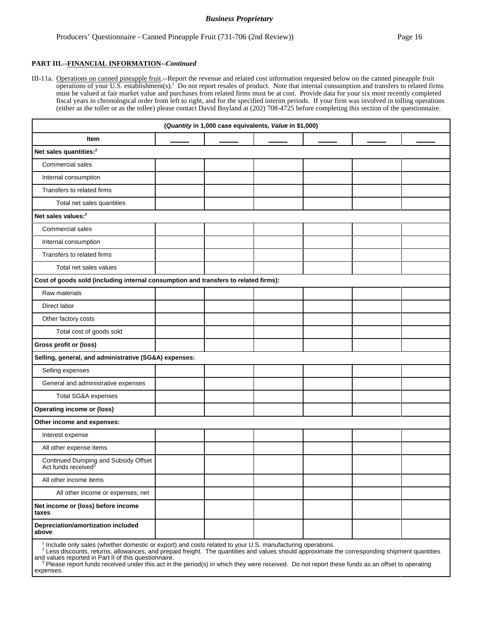#### **PART III.--FINANCIAL INFORMATION--***Continued*

III-11a. Operations on canned pineapple fruit.--Report the revenue and related cost information requested below on the canned pineapple fruit operations of your U.S. establishment(s).<sup>1</sup> Do not report resales of product. Note that internal consumption and transfers to related firms must be valued at fair market value and purchases from related firms must be at cost. Provide data for your six most recently completed fiscal years in chronological order from left to right, and for the specified interim periods. If your firm was involved in tolling operations (either as the toller or as the tollee) please contact David Boyland at (202) 708-4725 before completing this section of the questionnaire.

| (Quantity in 1,000 case equivalents, Value in \$1,000)                                                   |  |  |  |  |  |  |
|----------------------------------------------------------------------------------------------------------|--|--|--|--|--|--|
| Item                                                                                                     |  |  |  |  |  |  |
| Net sales quantities: <sup>2</sup>                                                                       |  |  |  |  |  |  |
| Commercial sales                                                                                         |  |  |  |  |  |  |
| Internal consumption                                                                                     |  |  |  |  |  |  |
| Transfers to related firms                                                                               |  |  |  |  |  |  |
| Total net sales quantities                                                                               |  |  |  |  |  |  |
| Net sales values: <sup>2</sup>                                                                           |  |  |  |  |  |  |
| Commercial sales                                                                                         |  |  |  |  |  |  |
| Internal consumption                                                                                     |  |  |  |  |  |  |
| Transfers to related firms                                                                               |  |  |  |  |  |  |
| Total net sales values                                                                                   |  |  |  |  |  |  |
| Cost of goods sold (including internal consumption and transfers to related firms):                      |  |  |  |  |  |  |
| Raw materials                                                                                            |  |  |  |  |  |  |
| Direct labor                                                                                             |  |  |  |  |  |  |
| Other factory costs                                                                                      |  |  |  |  |  |  |
| Total cost of goods sold                                                                                 |  |  |  |  |  |  |
| Gross profit or (loss)                                                                                   |  |  |  |  |  |  |
| Selling, general, and administrative (SG&A) expenses:                                                    |  |  |  |  |  |  |
| Selling expenses                                                                                         |  |  |  |  |  |  |
| General and administrative expenses                                                                      |  |  |  |  |  |  |
| Total SG&A expenses                                                                                      |  |  |  |  |  |  |
| <b>Operating income or (loss)</b>                                                                        |  |  |  |  |  |  |
| Other income and expenses:                                                                               |  |  |  |  |  |  |
| Interest expense                                                                                         |  |  |  |  |  |  |
| All other expense items                                                                                  |  |  |  |  |  |  |
| Continued Dumping and Subsidy Offset<br>Act funds received <sup>3</sup>                                  |  |  |  |  |  |  |
| All other income items                                                                                   |  |  |  |  |  |  |
| All other income or expenses, net                                                                        |  |  |  |  |  |  |
| Net income or (loss) before income<br>taxes                                                              |  |  |  |  |  |  |
| Depreciation/amortization included<br>above                                                              |  |  |  |  |  |  |
| I political only solar (whother democie or event) and easte related to your LLC, menufacturing energians |  |  |  |  |  |  |

<sup>1</sup> Include only sales (whether domestic or export) and costs related to your U.S. manufacturing operations.<br><sup>2</sup> Less discounts, returns, allowances, and prepaid freight. The quantities and values should approximate the co

and values reported in Part II of this questionnaire.<br><sup>3</sup> Please report funds received under this act in the period(s) in which they were received. Do not report these funds as an offset to operating expenses.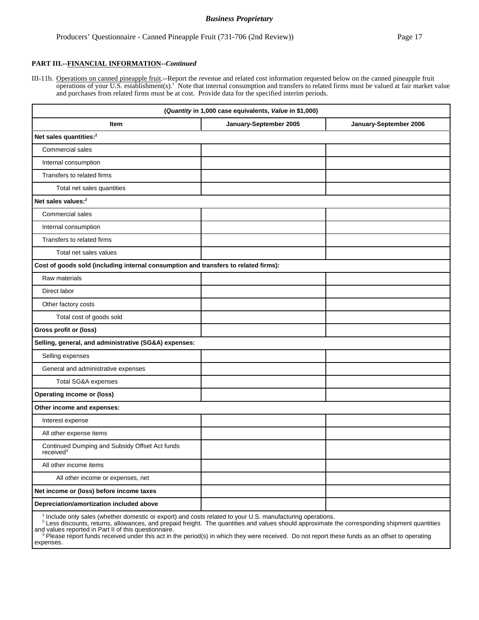#### *Business Proprietary*

### **PART III.--FINANCIAL INFORMATION--***Continued*

III-11b. Operations on canned pineapple fruit.--Report the revenue and related cost information requested below on the canned pineapple fruit operations of your U.S. establishment(s).<sup>1</sup> Note that internal consumption and transfers to related firms must be valued at fair market value and purchases from related firms must be at cost. Provide data for the specified interim periods.

| (Quantity in 1,000 case equivalents, Value in \$1,000)                                                               |                        |                        |  |  |  |  |  |
|----------------------------------------------------------------------------------------------------------------------|------------------------|------------------------|--|--|--|--|--|
| Item                                                                                                                 | January-September 2005 | January-September 2006 |  |  |  |  |  |
| Net sales quantities: <sup>2</sup>                                                                                   |                        |                        |  |  |  |  |  |
| <b>Commercial sales</b>                                                                                              |                        |                        |  |  |  |  |  |
| Internal consumption                                                                                                 |                        |                        |  |  |  |  |  |
| Transfers to related firms                                                                                           |                        |                        |  |  |  |  |  |
| Total net sales quantities                                                                                           |                        |                        |  |  |  |  |  |
| Net sales values: <sup>2</sup>                                                                                       |                        |                        |  |  |  |  |  |
| Commercial sales                                                                                                     |                        |                        |  |  |  |  |  |
| Internal consumption                                                                                                 |                        |                        |  |  |  |  |  |
| Transfers to related firms                                                                                           |                        |                        |  |  |  |  |  |
| Total net sales values                                                                                               |                        |                        |  |  |  |  |  |
| Cost of goods sold (including internal consumption and transfers to related firms):                                  |                        |                        |  |  |  |  |  |
| Raw materials                                                                                                        |                        |                        |  |  |  |  |  |
| Direct labor                                                                                                         |                        |                        |  |  |  |  |  |
| Other factory costs                                                                                                  |                        |                        |  |  |  |  |  |
| Total cost of goods sold                                                                                             |                        |                        |  |  |  |  |  |
| Gross profit or (loss)                                                                                               |                        |                        |  |  |  |  |  |
| Selling, general, and administrative (SG&A) expenses:                                                                |                        |                        |  |  |  |  |  |
| Selling expenses                                                                                                     |                        |                        |  |  |  |  |  |
| General and administrative expenses                                                                                  |                        |                        |  |  |  |  |  |
| Total SG&A expenses                                                                                                  |                        |                        |  |  |  |  |  |
| <b>Operating income or (loss)</b>                                                                                    |                        |                        |  |  |  |  |  |
| Other income and expenses:                                                                                           |                        |                        |  |  |  |  |  |
| Interest expense                                                                                                     |                        |                        |  |  |  |  |  |
| All other expense items                                                                                              |                        |                        |  |  |  |  |  |
| Continued Dumping and Subsidy Offset Act funds<br>received <sup>3</sup>                                              |                        |                        |  |  |  |  |  |
| All other income items                                                                                               |                        |                        |  |  |  |  |  |
| All other income or expenses, net                                                                                    |                        |                        |  |  |  |  |  |
| Net income or (loss) before income taxes                                                                             |                        |                        |  |  |  |  |  |
| Depreciation/amortization included above                                                                             |                        |                        |  |  |  |  |  |
| <sup>1</sup> Include only sales (whether domestic or export) and costs related to your LLS, manufacturing operations |                        |                        |  |  |  |  |  |

<sup>1</sup> Include only sales (whether domestic or export) and costs related to your U.S. manufacturing operations.<br><sup>2</sup> Less discounts, returns, allowances, and prepaid freight. The quantities and values should approximate the co

and values reported in Part II of this questionnaire.<br><sup>3</sup> Please report funds received under this act in the period(s) in which they were received. Do not report these funds as an offset to operating expenses.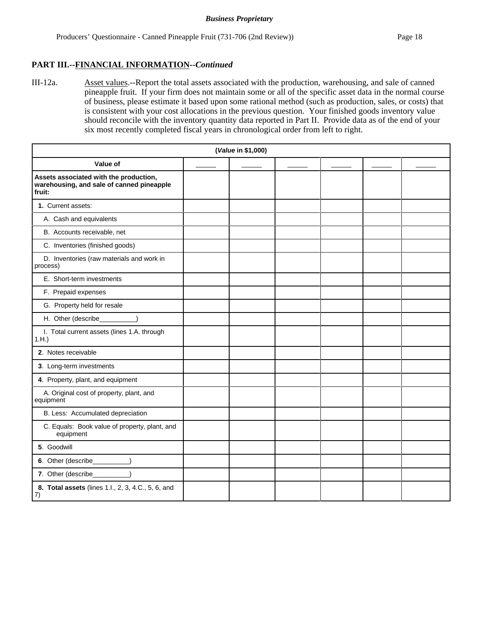### **PART III.--FINANCIAL INFORMATION--***Continued*

III-12a. Asset values.--Report the total assets associated with the production, warehousing, and sale of canned pineapple fruit. If your firm does not maintain some or all of the specific asset data in the normal course of business, please estimate it based upon some rational method (such as production, sales, or costs) that is consistent with your cost allocations in the previous question. Your finished goods inventory value should reconcile with the inventory quantity data reported in Part II. Provide data as of the end of your six most recently completed fiscal years in chronological order from left to right.

| (Value in \$1,000)                                                                            |  |  |  |  |  |  |
|-----------------------------------------------------------------------------------------------|--|--|--|--|--|--|
| Value of                                                                                      |  |  |  |  |  |  |
| Assets associated with the production,<br>warehousing, and sale of canned pineapple<br>fruit: |  |  |  |  |  |  |
| 1. Current assets:                                                                            |  |  |  |  |  |  |
| A. Cash and equivalents                                                                       |  |  |  |  |  |  |
| B. Accounts receivable, net                                                                   |  |  |  |  |  |  |
| C. Inventories (finished goods)                                                               |  |  |  |  |  |  |
| D. Inventories (raw materials and work in<br>process)                                         |  |  |  |  |  |  |
| E. Short-term investments                                                                     |  |  |  |  |  |  |
| F. Prepaid expenses                                                                           |  |  |  |  |  |  |
| G. Property held for resale                                                                   |  |  |  |  |  |  |
| H. Other (describe_                                                                           |  |  |  |  |  |  |
| I. Total current assets (lines 1.A. through<br>1.H.                                           |  |  |  |  |  |  |
| 2. Notes receivable                                                                           |  |  |  |  |  |  |
| 3. Long-term investments                                                                      |  |  |  |  |  |  |
| 4. Property, plant, and equipment                                                             |  |  |  |  |  |  |
| A. Original cost of property, plant, and<br>equipment                                         |  |  |  |  |  |  |
| B. Less: Accumulated depreciation                                                             |  |  |  |  |  |  |
| C. Equals: Book value of property, plant, and<br>equipment                                    |  |  |  |  |  |  |
| 5. Goodwill                                                                                   |  |  |  |  |  |  |
| 6. Other (describe_________)                                                                  |  |  |  |  |  |  |
| 7. Other (describe__________)                                                                 |  |  |  |  |  |  |
| 8. Total assets (lines 1.l., 2, 3, 4.C., 5, 6, and<br>7)                                      |  |  |  |  |  |  |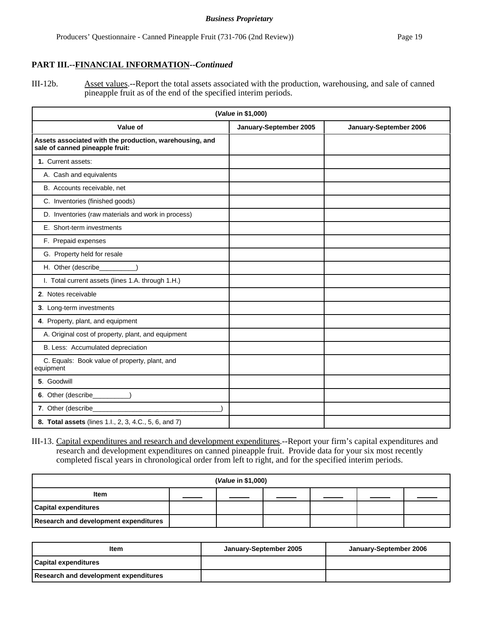## **PART III.--FINANCIAL INFORMATION--***Continued*

III-12b. Asset values.--Report the total assets associated with the production, warehousing, and sale of canned pineapple fruit as of the end of the specified interim periods.

| (Value in \$1,000)                                                                         |                        |                        |  |  |  |
|--------------------------------------------------------------------------------------------|------------------------|------------------------|--|--|--|
| Value of                                                                                   | January-September 2005 | January-September 2006 |  |  |  |
| Assets associated with the production, warehousing, and<br>sale of canned pineapple fruit: |                        |                        |  |  |  |
| 1. Current assets:                                                                         |                        |                        |  |  |  |
| A. Cash and equivalents                                                                    |                        |                        |  |  |  |
| B. Accounts receivable, net                                                                |                        |                        |  |  |  |
| C. Inventories (finished goods)                                                            |                        |                        |  |  |  |
| D. Inventories (raw materials and work in process)                                         |                        |                        |  |  |  |
| E. Short-term investments                                                                  |                        |                        |  |  |  |
| F. Prepaid expenses                                                                        |                        |                        |  |  |  |
| G. Property held for resale                                                                |                        |                        |  |  |  |
| H. Other (describe________                                                                 |                        |                        |  |  |  |
| I. Total current assets (lines 1.A. through 1.H.)                                          |                        |                        |  |  |  |
| 2. Notes receivable                                                                        |                        |                        |  |  |  |
| 3. Long-term investments                                                                   |                        |                        |  |  |  |
| 4. Property, plant, and equipment                                                          |                        |                        |  |  |  |
| A. Original cost of property, plant, and equipment                                         |                        |                        |  |  |  |
| B. Less: Accumulated depreciation                                                          |                        |                        |  |  |  |
| C. Equals: Book value of property, plant, and<br>equipment                                 |                        |                        |  |  |  |
| 5. Goodwill                                                                                |                        |                        |  |  |  |
| 6. Other (describe_________)                                                               |                        |                        |  |  |  |
|                                                                                            |                        |                        |  |  |  |
| 8. Total assets (lines 1.l., 2, 3, 4.C., 5, 6, and 7)                                      |                        |                        |  |  |  |

III-13. Capital expenditures and research and development expenditures.--Report your firm's capital expenditures and research and development expenditures on canned pineapple fruit. Provide data for your six most recently completed fiscal years in chronological order from left to right, and for the specified interim periods.

| (Value in \$1,000)                    |  |  |  |  |  |  |
|---------------------------------------|--|--|--|--|--|--|
| <b>Item</b>                           |  |  |  |  |  |  |
| <b>Capital expenditures</b>           |  |  |  |  |  |  |
| Research and development expenditures |  |  |  |  |  |  |

| <b>Item</b>                           | January-September 2005 | January-September 2006 |
|---------------------------------------|------------------------|------------------------|
| <b>Capital expenditures</b>           |                        |                        |
| Research and development expenditures |                        |                        |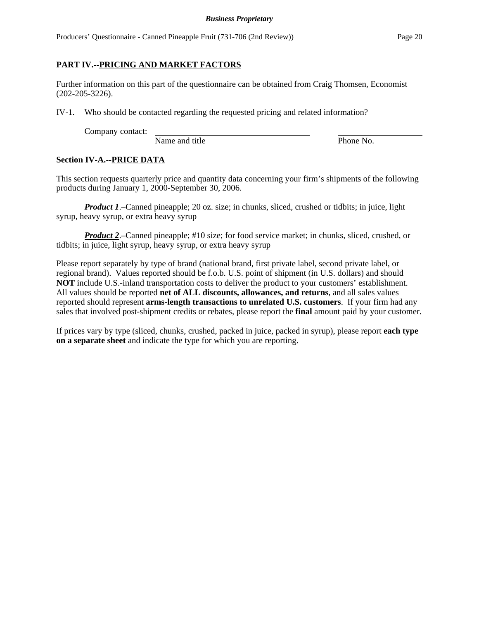Producers' Questionnaire - Canned Pineapple Fruit (731-706 (2nd Review)) Page 20

## **PART IV.--PRICING AND MARKET FACTORS**

Further information on this part of the questionnaire can be obtained from Craig Thomsen, Economist (202-205-3226).

IV-1. Who should be contacted regarding the requested pricing and related information?

Company contact:

Name and title Phone No.

## **Section IV-A.--PRICE DATA**

This section requests quarterly price and quantity data concerning your firm's shipments of the following products during January 1, 2000-September 30, 2006.

*Product 1*.–Canned pineapple; 20 oz. size; in chunks, sliced, crushed or tidbits; in juice, light syrup, heavy syrup, or extra heavy syrup

*Product 2*.–Canned pineapple; #10 size; for food service market; in chunks, sliced, crushed, or tidbits; in juice, light syrup, heavy syrup, or extra heavy syrup

Please report separately by type of brand (national brand, first private label, second private label, or regional brand). Values reported should be f.o.b. U.S. point of shipment (in U.S. dollars) and should **NOT** include U.S.-inland transportation costs to deliver the product to your customers' establishment. All values should be reported **net of ALL discounts, allowances, and returns**, and all sales values reported should represent **arms-length transactions to unrelated U.S. customers**. If your firm had any sales that involved post-shipment credits or rebates, please report the **final** amount paid by your customer.

If prices vary by type (sliced, chunks, crushed, packed in juice, packed in syrup), please report **each type on a separate sheet** and indicate the type for which you are reporting.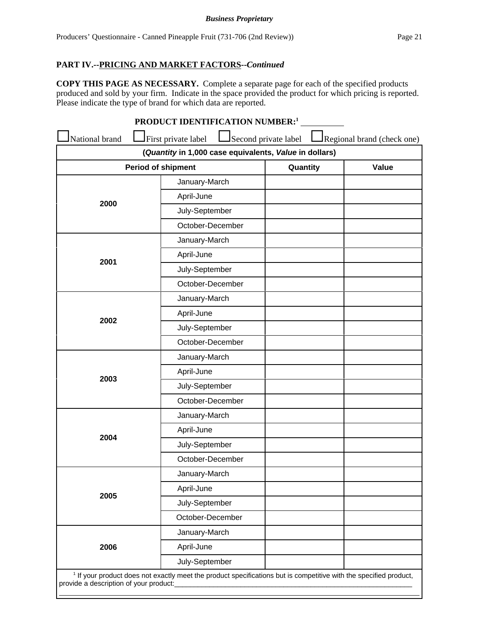**COPY THIS PAGE AS NECESSARY.** Complete a separate page for each of the specified products produced and sold by your firm. Indicate in the space provided the product for which pricing is reported. Please indicate the type of brand for which data are reported.

|                | PRODUCT IDENTIFICATION NUMBER: <sup>1</sup>                                   |                      |                            |
|----------------|-------------------------------------------------------------------------------|----------------------|----------------------------|
| National brand | First private label<br>(Quantity in 1,000 case equivalents, Value in dollars) | Second private label | Regional brand (check one) |
|                | <b>Period of shipment</b>                                                     | Quantity             | Value                      |
|                | January-March                                                                 |                      |                            |
|                | April-June                                                                    |                      |                            |
| 2000           | July-September                                                                |                      |                            |
|                | October-December                                                              |                      |                            |
|                | January-March                                                                 |                      |                            |
|                | April-June                                                                    |                      |                            |
| 2001           | July-September                                                                |                      |                            |
|                | October-December                                                              |                      |                            |
|                | January-March                                                                 |                      |                            |
|                | April-June                                                                    |                      |                            |
| 2002           | July-September                                                                |                      |                            |
|                | October-December                                                              |                      |                            |
|                | January-March                                                                 |                      |                            |
|                | April-June                                                                    |                      |                            |
| 2003           | July-September                                                                |                      |                            |
|                | October-December                                                              |                      |                            |
|                | January-March                                                                 |                      |                            |
| 2004           | April-June                                                                    |                      |                            |
|                | July-September                                                                |                      |                            |
|                | October-December                                                              |                      |                            |
|                | January-March                                                                 |                      |                            |
| 2005           | April-June                                                                    |                      |                            |
|                | July-September                                                                |                      |                            |
|                | October-December                                                              |                      |                            |
|                | January-March                                                                 |                      |                            |
| 2006           | April-June                                                                    |                      |                            |
|                | July-September                                                                |                      |                            |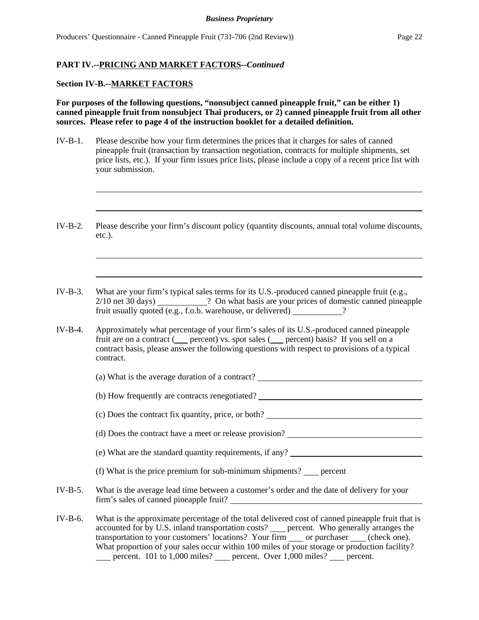### **Section IV-B.--MARKET FACTORS**

**For purposes of the following questions, "nonsubject canned pineapple fruit," can be either 1) canned pineapple fruit from nonsubject Thai producers, or 2) canned pineapple fruit from all other sources. Please refer to page 4 of the instruction booklet for a detailed definition.** 

- IV-B-1. Please describe how your firm determines the prices that it charges for sales of canned pineapple fruit (transaction by transaction negotiation, contracts for multiple shipments, set price lists, etc.). If your firm issues price lists, please include a copy of a recent price list with your submission.
- IV-B-2. Please describe your firm's discount policy (quantity discounts, annual total volume discounts, etc.).
- IV-B-3. What are your firm's typical sales terms for its U.S.-produced canned pineapple fruit (e.g., 2/10 net 30 days) **2/10** net 30 days 2/10 net 30 days 2. fruit usually quoted (e.g., f.o.b. warehouse, or delivered) \_\_\_\_\_\_\_\_\_\_\_?
- IV-B-4. Approximately what percentage of your firm's sales of its U.S.-produced canned pineapple fruit are on a contract (
percent) vs. spot sales (
percent) basis? If you sell on a contract basis, please answer the following questions with respect to provisions of a typical contract.
	- (a) What is the average duration of a contract?
	- (b) How frequently are contracts renegotiated?
	- (c) Does the contract fix quantity, price, or both?
	- (d) Does the contract have a meet or release provision?
	- (e) What are the standard quantity requirements, if any?
	- (f) What is the price premium for sub-minimum shipments?  $\qquad$  percent
- IV-B-5. What is the average lead time between a customer's order and the date of delivery for your firm's sales of canned pineapple fruit?
- IV-B-6. What is the approximate percentage of the total delivered cost of canned pineapple fruit that is accounted for by U.S. inland transportation costs? erecent. Who generally arranges the transportation to your customers' locations? Your firm \_\_\_\_\_ or purchaser \_\_\_\_\_ (check one). What proportion of your sales occur within 100 miles of your storage or production facility? percent. 101 to 1,000 miles? percent. Over 1,000 miles? percent.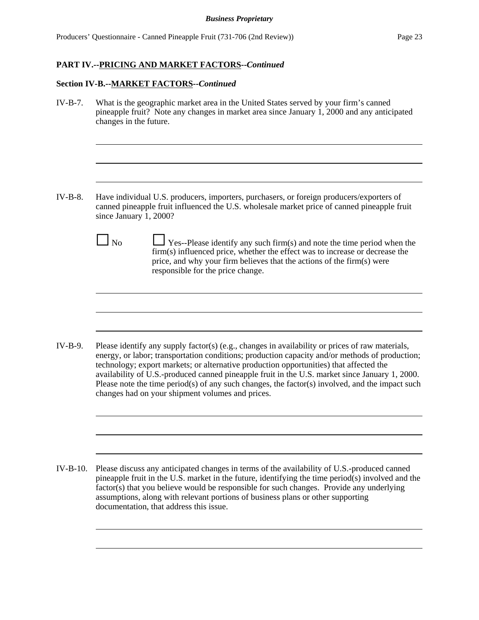### **Section IV-B.--MARKET FACTORS--***Continued*

IV-B-7. What is the geographic market area in the United States served by your firm's canned pineapple fruit? Note any changes in market area since January 1, 2000 and any anticipated changes in the future.

- IV-B-8. Have individual U.S. producers, importers, purchasers, or foreign producers/exporters of canned pineapple fruit influenced the U.S. wholesale market price of canned pineapple fruit since January 1, 2000?
	-

 $\Box$  No  $\Box$  Yes--Please identify any such firm(s) and note the time period when the firm(s) influenced price, whether the effect was to increase or decrease the price, and why your firm believes that the actions of the firm(s) were responsible for the price change.

IV-B-9. Please identify any supply factor(s) (e.g., changes in availability or prices of raw materials, energy, or labor; transportation conditions; production capacity and/or methods of production; technology; export markets; or alternative production opportunities) that affected the availability of U.S.-produced canned pineapple fruit in the U.S. market since January 1, 2000. Please note the time period(s) of any such changes, the factor(s) involved, and the impact such changes had on your shipment volumes and prices.

IV-B-10. Please discuss any anticipated changes in terms of the availability of U.S.-produced canned pineapple fruit in the U.S. market in the future, identifying the time period(s) involved and the factor(s) that you believe would be responsible for such changes. Provide any underlying assumptions, along with relevant portions of business plans or other supporting documentation, that address this issue.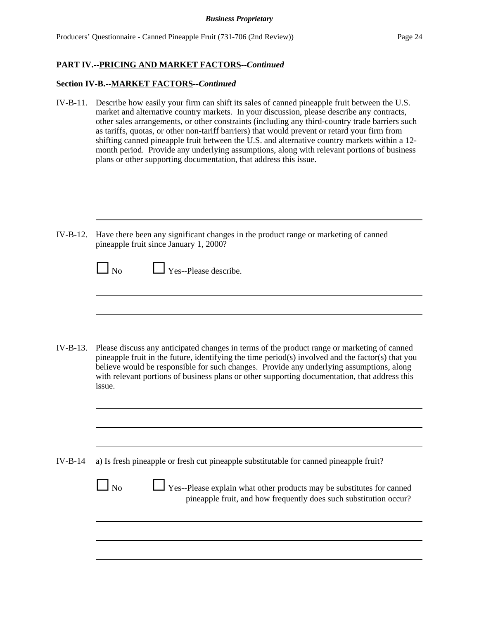| $IV-B-11.$ | Describe how easily your firm can shift its sales of canned pineapple fruit between the U.S.<br>market and alternative country markets. In your discussion, please describe any contracts,<br>other sales arrangements, or other constraints (including any third-country trade barriers such<br>as tariffs, quotas, or other non-tariff barriers) that would prevent or retard your firm from<br>shifting canned pineapple fruit between the U.S. and alternative country markets within a 12-<br>month period. Provide any underlying assumptions, along with relevant portions of business<br>plans or other supporting documentation, that address this issue. |  |  |  |
|------------|--------------------------------------------------------------------------------------------------------------------------------------------------------------------------------------------------------------------------------------------------------------------------------------------------------------------------------------------------------------------------------------------------------------------------------------------------------------------------------------------------------------------------------------------------------------------------------------------------------------------------------------------------------------------|--|--|--|
| $IV-B-12.$ | Have there been any significant changes in the product range or marketing of canned                                                                                                                                                                                                                                                                                                                                                                                                                                                                                                                                                                                |  |  |  |
|            | pineapple fruit since January 1, 2000?<br>Yes--Please describe.<br>$\Box$ No                                                                                                                                                                                                                                                                                                                                                                                                                                                                                                                                                                                       |  |  |  |
| $IV-B-13.$ | Please discuss any anticipated changes in terms of the product range or marketing of canned<br>pineapple fruit in the future, identifying the time period(s) involved and the factor(s) that you<br>believe would be responsible for such changes. Provide any underlying assumptions, along<br>with relevant portions of business plans or other supporting documentation, that address this<br>issue.                                                                                                                                                                                                                                                            |  |  |  |
|            |                                                                                                                                                                                                                                                                                                                                                                                                                                                                                                                                                                                                                                                                    |  |  |  |
| $IV-B-14$  | a) Is fresh pineapple or fresh cut pineapple substitutable for canned pineapple fruit?<br>$\Box$ No<br>Yes--Please explain what other products may be substitutes for canned<br>pineapple fruit, and how frequently does such substitution occur?                                                                                                                                                                                                                                                                                                                                                                                                                  |  |  |  |
|            |                                                                                                                                                                                                                                                                                                                                                                                                                                                                                                                                                                                                                                                                    |  |  |  |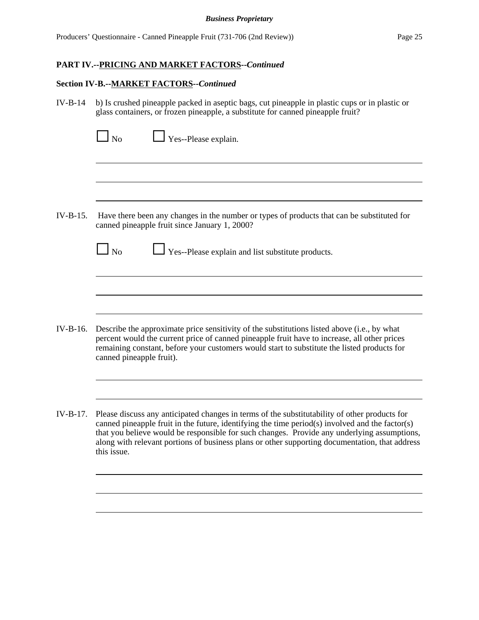|            | $\Box$ Yes--Please explain.<br>$\Box$ No                                                                                                                                                                                                                                                                                                                                                                         |
|------------|------------------------------------------------------------------------------------------------------------------------------------------------------------------------------------------------------------------------------------------------------------------------------------------------------------------------------------------------------------------------------------------------------------------|
|            |                                                                                                                                                                                                                                                                                                                                                                                                                  |
| $IV-B-15.$ | Have there been any changes in the number or types of products that can be substituted for<br>canned pineapple fruit since January 1, 2000?                                                                                                                                                                                                                                                                      |
|            | $\Box$ No<br>Yes--Please explain and list substitute products.                                                                                                                                                                                                                                                                                                                                                   |
|            |                                                                                                                                                                                                                                                                                                                                                                                                                  |
| $IV-B-16.$ | Describe the approximate price sensitivity of the substitutions listed above (i.e., by what<br>percent would the current price of canned pineapple fruit have to increase, all other prices<br>remaining constant, before your customers would start to substitute the listed products for<br>canned pineapple fruit).                                                                                           |
|            |                                                                                                                                                                                                                                                                                                                                                                                                                  |
| IV-B-17.   | Please discuss any anticipated changes in terms of the substitutability of other products for<br>canned pineapple fruit in the future, identifying the time period(s) involved and the factor(s)<br>that you believe would be responsible for such changes. Provide any underlying assumptions,<br>along with relevant portions of business plans or other supporting documentation, that address<br>this issue. |
|            |                                                                                                                                                                                                                                                                                                                                                                                                                  |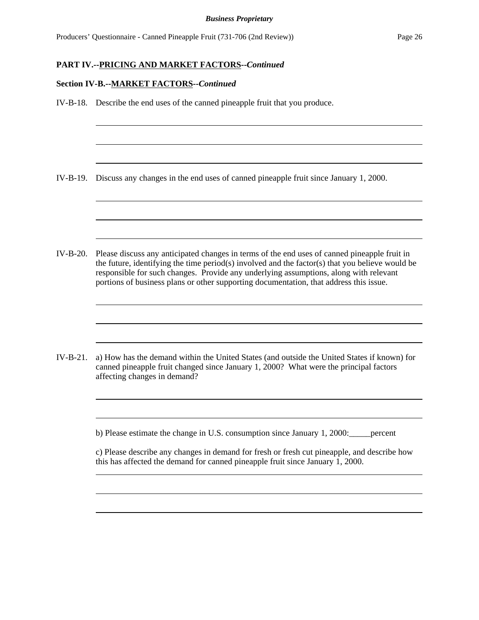#### **Section IV-B.--MARKET FACTORS--***Continued*

IV-B-18. Describe the end uses of the canned pineapple fruit that you produce. IV-B-19. Discuss any changes in the end uses of canned pineapple fruit since January 1, 2000. IV-B-20. Please discuss any anticipated changes in terms of the end uses of canned pineapple fruit in the future, identifying the time period(s) involved and the factor(s) that you believe would be responsible for such changes. Provide any underlying assumptions, along with relevant portions of business plans or other supporting documentation, that address this issue. IV-B-21. a) How has the demand within the United States (and outside the United States if known) for canned pineapple fruit changed since January 1, 2000? What were the principal factors affecting changes in demand? b) Please estimate the change in U.S. consumption since January 1, 2000:\_\_\_\_\_percent c) Please describe any changes in demand for fresh or fresh cut pineapple, and describe how this has affected the demand for canned pineapple fruit since January 1, 2000.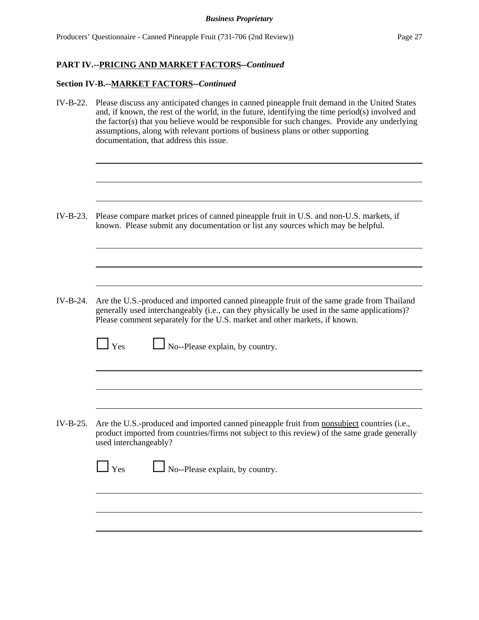| IV-B-22.   | Please discuss any anticipated changes in canned pineapple fruit demand in the United States<br>and, if known, the rest of the world, in the future, identifying the time period(s) involved and<br>the factor(s) that you believe would be responsible for such changes. Provide any underlying<br>assumptions, along with relevant portions of business plans or other supporting<br>documentation, that address this issue. |  |  |  |
|------------|--------------------------------------------------------------------------------------------------------------------------------------------------------------------------------------------------------------------------------------------------------------------------------------------------------------------------------------------------------------------------------------------------------------------------------|--|--|--|
|            |                                                                                                                                                                                                                                                                                                                                                                                                                                |  |  |  |
| $IV-B-23.$ | Please compare market prices of canned pineapple fruit in U.S. and non-U.S. markets, if<br>known. Please submit any documentation or list any sources which may be helpful.                                                                                                                                                                                                                                                    |  |  |  |
|            |                                                                                                                                                                                                                                                                                                                                                                                                                                |  |  |  |
|            |                                                                                                                                                                                                                                                                                                                                                                                                                                |  |  |  |
| $IV-B-24.$ | Are the U.S.-produced and imported canned pineapple fruit of the same grade from Thailand<br>generally used interchangeably (i.e., can they physically be used in the same applications)?<br>Please comment separately for the U.S. market and other markets, if known.                                                                                                                                                        |  |  |  |
|            | No--Please explain, by country.<br>Yes                                                                                                                                                                                                                                                                                                                                                                                         |  |  |  |
|            |                                                                                                                                                                                                                                                                                                                                                                                                                                |  |  |  |
|            |                                                                                                                                                                                                                                                                                                                                                                                                                                |  |  |  |
| $IV-B-25.$ | Are the U.S.-produced and imported canned pineapple fruit from nonsubject countries (i.e.,<br>product imported from countries/firms not subject to this review) of the same grade generally<br>used interchangeably?                                                                                                                                                                                                           |  |  |  |
|            | $\Box$ Yes<br>No--Please explain, by country.                                                                                                                                                                                                                                                                                                                                                                                  |  |  |  |
|            |                                                                                                                                                                                                                                                                                                                                                                                                                                |  |  |  |
|            |                                                                                                                                                                                                                                                                                                                                                                                                                                |  |  |  |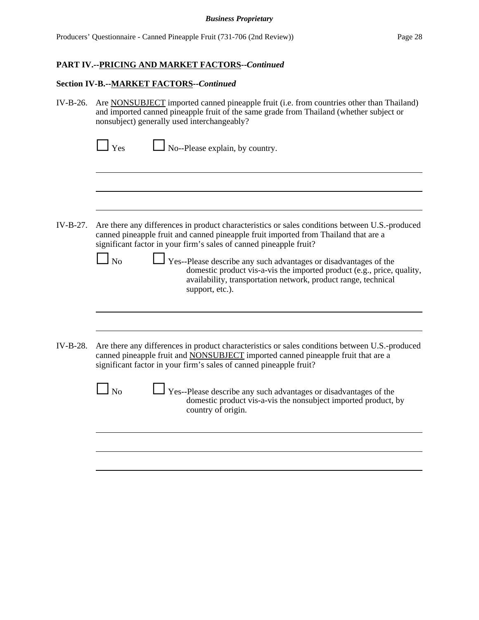| IV-B-26.   | Are NONSUBJECT imported canned pineapple fruit (i.e. from countries other than Thailand)<br>and imported canned pineapple fruit of the same grade from Thailand (whether subject or<br>nonsubject) generally used interchangeably?                                                                                                                                                                                                                                                                               |  |  |  |
|------------|------------------------------------------------------------------------------------------------------------------------------------------------------------------------------------------------------------------------------------------------------------------------------------------------------------------------------------------------------------------------------------------------------------------------------------------------------------------------------------------------------------------|--|--|--|
|            | $\Box$ No--Please explain, by country.<br>$\Box$ Yes                                                                                                                                                                                                                                                                                                                                                                                                                                                             |  |  |  |
|            |                                                                                                                                                                                                                                                                                                                                                                                                                                                                                                                  |  |  |  |
| $IV-B-27.$ | Are there any differences in product characteristics or sales conditions between U.S.-produced<br>canned pineapple fruit and canned pineapple fruit imported from Thailand that are a<br>significant factor in your firm's sales of canned pineapple fruit?<br>$\overline{N}$<br>Yes--Please describe any such advantages or disadvantages of the<br>domestic product vis-a-vis the imported product (e.g., price, quality,<br>availability, transportation network, product range, technical<br>support, etc.). |  |  |  |
|            |                                                                                                                                                                                                                                                                                                                                                                                                                                                                                                                  |  |  |  |
| $IV-B-28.$ | Are there any differences in product characteristics or sales conditions between U.S.-produced<br>canned pineapple fruit and NONSUBJECT imported canned pineapple fruit that are a<br>significant factor in your firm's sales of canned pineapple fruit?                                                                                                                                                                                                                                                         |  |  |  |
|            | $\overline{N}$<br>Yes--Please describe any such advantages or disadvantages of the<br>domestic product vis-a-vis the nonsubject imported product, by<br>country of origin.                                                                                                                                                                                                                                                                                                                                       |  |  |  |
|            |                                                                                                                                                                                                                                                                                                                                                                                                                                                                                                                  |  |  |  |
|            |                                                                                                                                                                                                                                                                                                                                                                                                                                                                                                                  |  |  |  |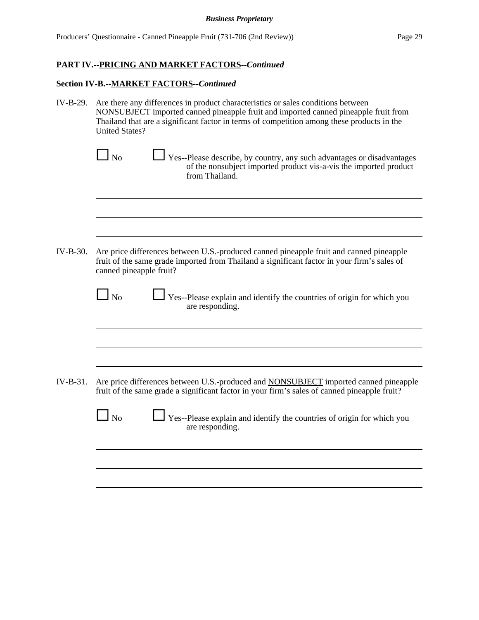| IV-B-29. | Are there any differences in product characteristics or sales conditions between<br>NONSUBJECT imported canned pineapple fruit and imported canned pineapple fruit from<br>Thailand that are a significant factor in terms of competition among these products in the<br><b>United States?</b> |  |  |  |
|----------|------------------------------------------------------------------------------------------------------------------------------------------------------------------------------------------------------------------------------------------------------------------------------------------------|--|--|--|
|          | Yes--Please describe, by country, any such advantages or disadvantages<br>l No<br>of the nonsubject imported product vis-a-vis the imported product<br>from Thailand.                                                                                                                          |  |  |  |
|          |                                                                                                                                                                                                                                                                                                |  |  |  |
|          |                                                                                                                                                                                                                                                                                                |  |  |  |
| IV-B-30. | Are price differences between U.S.-produced canned pineapple fruit and canned pineapple<br>fruit of the same grade imported from Thailand a significant factor in your firm's sales of<br>canned pineapple fruit?                                                                              |  |  |  |
|          | $\overline{N}$<br>Yes--Please explain and identify the countries of origin for which you<br>are responding.                                                                                                                                                                                    |  |  |  |
|          |                                                                                                                                                                                                                                                                                                |  |  |  |
|          |                                                                                                                                                                                                                                                                                                |  |  |  |
| IV-B-31. | Are price differences between U.S.-produced and <b>NONSUBJECT</b> imported canned pineapple<br>fruit of the same grade a significant factor in your firm's sales of canned pineapple fruit?                                                                                                    |  |  |  |
|          | No<br>Yes--Please explain and identify the countries of origin for which you<br>are responding.                                                                                                                                                                                                |  |  |  |
|          |                                                                                                                                                                                                                                                                                                |  |  |  |
|          |                                                                                                                                                                                                                                                                                                |  |  |  |
|          |                                                                                                                                                                                                                                                                                                |  |  |  |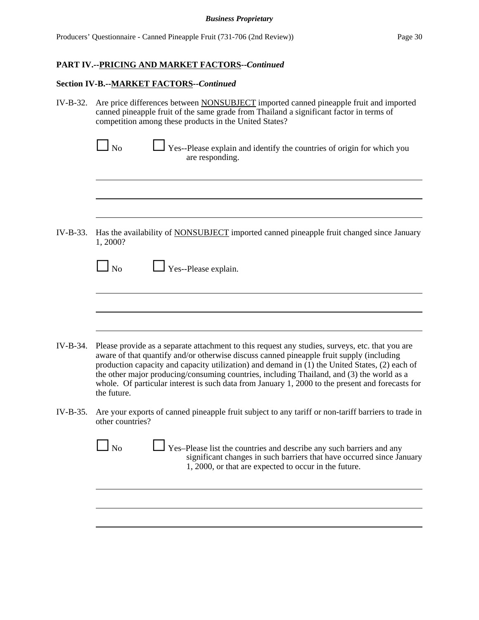| IV-B-32.   | Are price differences between <b>NONSUBJECT</b> imported canned pineapple fruit and imported<br>canned pineapple fruit of the same grade from Thailand a significant factor in terms of<br>competition among these products in the United States?                                                                                                                                                                                                                                                             |  |  |  |
|------------|---------------------------------------------------------------------------------------------------------------------------------------------------------------------------------------------------------------------------------------------------------------------------------------------------------------------------------------------------------------------------------------------------------------------------------------------------------------------------------------------------------------|--|--|--|
|            | $\Box$ No<br>Yes--Please explain and identify the countries of origin for which you<br>are responding.                                                                                                                                                                                                                                                                                                                                                                                                        |  |  |  |
|            |                                                                                                                                                                                                                                                                                                                                                                                                                                                                                                               |  |  |  |
| $IV-B-33.$ | Has the availability of NONSUBJECT imported canned pineapple fruit changed since January<br>1,2000?                                                                                                                                                                                                                                                                                                                                                                                                           |  |  |  |
|            | $\Box$ Yes--Please explain.<br>$\Box$ No                                                                                                                                                                                                                                                                                                                                                                                                                                                                      |  |  |  |
|            |                                                                                                                                                                                                                                                                                                                                                                                                                                                                                                               |  |  |  |
| IV-B-34.   | Please provide as a separate attachment to this request any studies, surveys, etc. that you are<br>aware of that quantify and/or otherwise discuss canned pineapple fruit supply (including<br>production capacity and capacity utilization) and demand in (1) the United States, (2) each of<br>the other major producing/consuming countries, including Thailand, and (3) the world as a<br>whole. Of particular interest is such data from January 1, 2000 to the present and forecasts for<br>the future. |  |  |  |
| IV-B-35.   | Are your exports of canned pineapple fruit subject to any tariff or non-tariff barriers to trade in<br>other countries?                                                                                                                                                                                                                                                                                                                                                                                       |  |  |  |
|            | Yes-Please list the countries and describe any such barriers and any<br>N <sub>o</sub><br>significant changes in such barriers that have occurred since January<br>1, 2000, or that are expected to occur in the future.                                                                                                                                                                                                                                                                                      |  |  |  |
|            |                                                                                                                                                                                                                                                                                                                                                                                                                                                                                                               |  |  |  |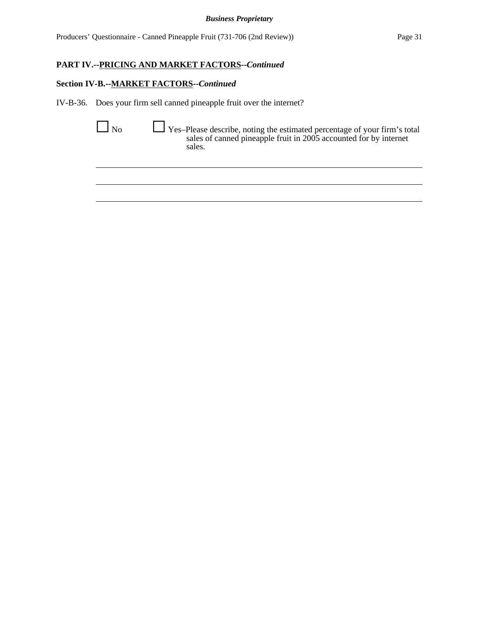Producers' Questionnaire - Canned Pineapple Fruit (731-706 (2nd Review)) Page 31

## **PART IV.--PRICING AND MARKET FACTORS--***Continued*

### **Section IV-B.--MARKET FACTORS--***Continued*

IV-B-36. Does your firm sell canned pineapple fruit over the internet?

G No G Yes–Please describe, noting the estimated percentage of your firm's total sales of canned pineapple fruit in 2005 accounted for by internet sales.